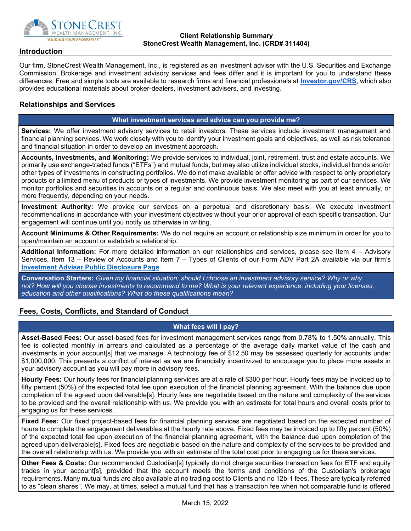

#### Client Relationship Summary StoneCrest Wealth Management, Inc. (CRD# 311404)

## Introduction

Our firm, StoneCrest Wealth Management, Inc., is registered as an investment adviser with the U.S. Securities and Exchange Commission. Brokerage and investment advisory services and fees differ and it is important for you to understand these differences. Free and simple tools are available to research firms and financial professionals at Investor.gov/CRS, which also provides educational materials about broker-dealers, investment advisers, and investing.

## Relationships and Services

## What investment services and advice can you provide me?

Services: We offer investment advisory services to retail investors. These services include investment management and financial planning services. We work closely with you to identify your investment goals and objectives, as well as risk tolerance and financial situation in order to develop an investment approach.

Accounts, Investments, and Monitoring: We provide services to individual, joint, retirement, trust and estate accounts. We primarily use exchange-traded funds ("ETFs") and mutual funds, but may also utilize individual stocks, individual bonds and/or other types of investments in constructing portfolios. We do not make available or offer advice with respect to only proprietary products or a limited menu of products or types of investments. We provide investment monitoring as part of our services. We monitor portfolios and securities in accounts on a regular and continuous basis. We also meet with you at least annually, or more frequently, depending on your needs.

Investment Authority: We provide our services on a perpetual and discretionary basis. We execute investment recommendations in accordance with your investment objectives without your prior approval of each specific transaction. Our engagement will continue until you notify us otherwise in writing.

Account Minimums & Other Requirements: We do not require an account or relationship size minimum in order for you to open/maintain an account or establish a relationship.

Additional Information: For more detailed information on our relationships and services, please see Item 4 – Advisory Services, Item 13 – Review of Accounts and Item 7 – Types of Clients of our Form ADV Part 2A available via our firm's Investment Adviser Public Disclosure Page.

Conversation Starters: Given my financial situation, should I choose an investment advisory service? Why or why not? How will you choose investments to recommend to me? What is your relevant experience, including your licenses, education and other qualifications? What do these qualifications mean?

# Fees, Costs, Conflicts, and Standard of Conduct

## What fees will I pay?

Asset-Based Fees: Our asset-based fees for investment management services range from 0.78% to 1.50% annually. This fee is collected monthly in arrears and calculated as a percentage of the average daily market value of the cash and investments in your account[s] that we manage. A technology fee of \$12.50 may be assessed quarterly for accounts under \$1,000,000. This presents a conflict of interest as we are financially incentivized to encourage you to place more assets in your advisory account as you will pay more in advisory fees.

Hourly Fees: Our hourly fees for financial planning services are at a rate of \$300 per hour. Hourly fees may be invoiced up to fifty percent (50%) of the expected total fee upon execution of the financial planning agreement. With the balance due upon completion of the agreed upon deliverable[s]. Hourly fees are negotiable based on the nature and complexity of the services to be provided and the overall relationship with us. We provide you with an estimate for total hours and overall costs prior to engaging us for these services.

Fixed Fees: Our fixed project-based fees for financial planning services are negotiated based on the expected number of hours to complete the engagement deliverables at the hourly rate above. Fixed fees may be invoiced up to fifty percent (50%) of the expected total fee upon execution of the financial planning agreement, with the balance due upon completion of the agreed upon deliverable[s]. Fixed fees are negotiable based on the nature and complexity of the services to be provided and the overall relationship with us. We provide you with an estimate of the total cost prior to engaging us for these services.

Other Fees & Costs: Our recommended Custodian[s] typically do not charge securities transaction fees for ETF and equity trades in your account[s], provided that the account meets the terms and conditions of the Custodian's brokerage requirements. Many mutual funds are also available at no trading cost to Clients and no 12b-1 fees. These are typically referred to as "clean shares". We may, at times, select a mutual fund that has a transaction fee when not comparable fund is offered